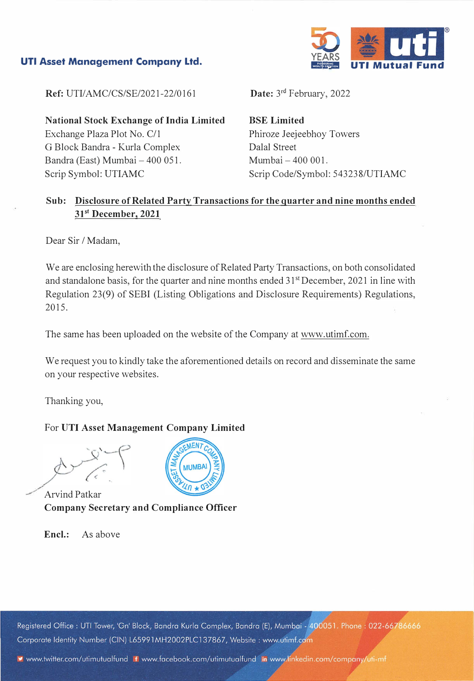#### **UTI Asset Management Company Ltd.**



**Ref: UTI/AMC/CS/SE/2021-22/0161** 

**National Stock Exchange of India Limited**  Exchange Plaza Plot No. C/1 G Block Bandra - Kurla Complex Bandra (East) Mumbai - 400 051. Scrip Symbol: UTIAMC

Date: 3<sup>rd</sup> February, 2022

**BSE Limited**  Phiroze Jeejeebhoy Towers Dalal Street Mumbai - 400 001. Scrip Code/Symbol: 543238/UTIAMC

## **Sub: Disclosure of Related Party Transactions for the quarter and nine months ended 3p<sup>t</sup>December, 2021**

Dear Sir / Madam,

We are enclosing herewith the disclosure of Related Party Transactions, on both consolidated and standalone basis, for the quarter and nine months ended 31<sup>st</sup> December, 2021 in line with Regulation 23(9) of SEBI (Listing Obligations and Disclosure Requirements) Regulations, 2015.

The same has been uploaded on the website of the Company at www.utimf.com.

We request you to kindly take the aforementioned details on record and disseminate the same on your respective websites.

Thanking you,

#### For **UTI Asset Management Company Limited**

Arvind Patkar **Company Secretary and Compliance Officer** 

**Encl.:** As above

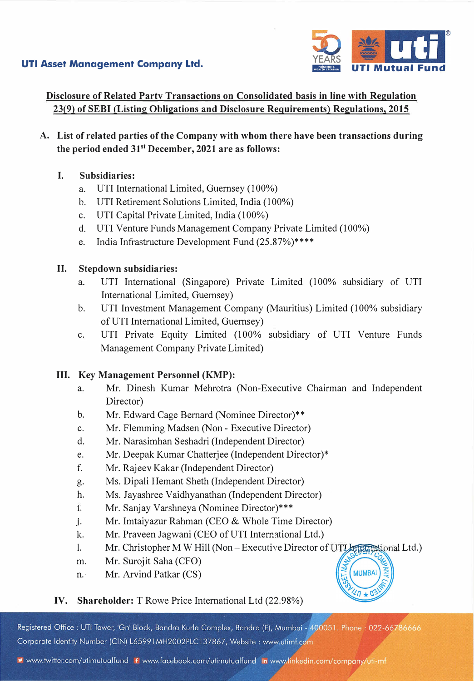## **UTI Asset Management Company Ltd.**



Disclosure of Related Party Transactions on Consolidated basis in line with Regulation 23(9) of SEBI (Listing Obligations and Disclosure Requirements) Regulations, 2015

- **A. List of related parties of the Company with whom there have been transactions during the period ended 3p<sup>t</sup>December, 2021 are as follows:**
	- **I. Subsidiaries:**
		- a. UTI International Limited, Guernsey (100%)
		- b. UTI Retirement Solutions Limited, India (100%)
		- c. UTI Capital Private Limited, India ( 100%)
		- d. UTI Venture Funds Management Company Private Limited (100%)
		- e. India Infrastructure Development Fund (25.87%)\*\*\*\*

### **II. Stepdown subsidiaries:**

- a. UTI International (Singapore) Private Limited (100% subsidiary of UTI International Limited, Guernsey)
- b. UTI Investment Management Company (Mauritius) Limited (100% subsidiary of UTI International Limited, Guernsey)
- c. UTI Private Equity Limited (100% subsidiary of UTI Venture Funds Management Company Private Limited)

### **III. Key Management Personnel (KMP):**

- a. Mr. Dinesh Kumar Mehrotra (Non-Executive Chairman and Independent Director)
- b. Mr. Edward Cage Bernard (Nominee Director)\*\*
- c. Mr. Flemming Madsen (Non Executive Director)
- d. Mr. Narasimhan Seshadri (Independent Director)
- e. Mr. Deepak Kumar Chatterjee (Independent Director)\*
- f. Mr. Rajeev Kakar (Independent Director)
- g. Ms. Dipali Hemant Sheth (Independent Director)
- h. Ms. Jayashree Vaidhyanathan (Independent Director)
- 1. Mr. Sanjay Varshneya (Nominee Director)\*\*\*
- j. . Mr. Imtaiyazur Rahman (CEO & Whole Time Director)
- k. Mr. Praveen Jagwani (CEO of UTI International Ltd.)
- l. Mr. Christopher M W Hill (Non Executive Director of UTI Letter assignal Ltd.)

**MUMBAI** 

 $40 \star 0$ 

- m. Mr. Surojit Saha (CFO)
- n. · Mr. Arvind Patkar (CS)

# **IV. Shareholder:** T Rowe Price International Ltd (22.98%)

Registered Office: UTI Tower, 'Gn' Block, Bandra Kurla Complex, Bandra (E), Mumbai - 400051. Phone: 022-66786666 Corporate Identity Number (CIN) L65991MH2002PLC137867, Website: www.utimf.com

v www.twitter.com/utimutualfund f www.facebook.com/utimutualfund in www.linkedin.com/company/uti-mf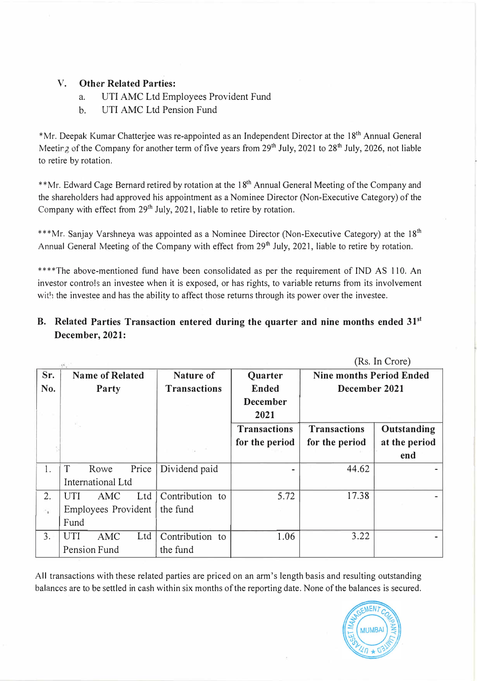## **V. Other Related Parties:**

- a. UTI AMC Ltd Employees Provident Fund
- b. UTI AMC Ltd Pension Fund

\*Mr. Deepak Kumar Chatterjee was re-appointed as an Independent Director at the 18<sup>th</sup> Annual General Meeting of the Company for another term of five years from  $29<sup>th</sup>$  July,  $2021$  to  $28<sup>th</sup>$  July,  $2026$ , not liable to retire by rotation.

\*\*Mr. Edward Cage Bernard retired by rotation at the 18<sup>th</sup> Annual General Meeting of the Company and the shareholders had approved his appointment as a Nominee Director (Non-Executive Category) of the Company with effect from  $29<sup>th</sup>$  July, 2021, liable to retire by rotation.

\*\*\*Mr. Sanjay Varshneya was appointed as a Nominee Director (Non-Executive Category) at the  $18<sup>th</sup>$ Annual General Meeting of the Company with effect from 29<sup>th</sup> July, 2021, liable to retire by rotation.

\*\*\*\*The above-mentioned fund have been consolidated as per the requirement of IND AS 110. An investor controls an investee when it is exposed, or has rights, to variable returns from its involvement with the investee and has the ability to affect those returns through its power over the investee.

# B. Related Parties Transaction entered during the quarter and nine months ended 31<sup>st</sup> **December, 2021:**

|                          |                        |      |          |                     | (Rs. In Crore)      |                                 |               |
|--------------------------|------------------------|------|----------|---------------------|---------------------|---------------------------------|---------------|
| Sr.                      | <b>Name of Related</b> |      |          | <b>Nature of</b>    | Quarter             | <b>Nine months Period Ended</b> |               |
| No.                      | Party                  |      |          | <b>Transactions</b> | <b>Ended</b>        | December 2021                   |               |
|                          |                        |      |          |                     | <b>December</b>     |                                 |               |
|                          |                        |      |          |                     | 2021                |                                 |               |
|                          |                        |      |          |                     | <b>Transactions</b> | <b>Transactions</b>             | Outstanding   |
|                          |                        |      |          |                     | for the period      | for the period                  | at the period |
|                          |                        |      |          |                     |                     |                                 | end           |
| 1.                       | T                      | Rowe | Price    | Dividend paid       |                     | 44.62                           |               |
|                          | International Ltd      |      |          |                     |                     |                                 |               |
| 2.                       | UTI                    | AMC  | Ltd      | Contribution to     | 5.72                | 17.38                           |               |
| $\overline{\phantom{a}}$ | Employees Provident    |      | the fund |                     |                     |                                 |               |
|                          | Fund                   |      |          |                     |                     |                                 |               |
| 3.                       | UTI                    | AMC  | Ltd      | Contribution to     | 1.06                | 3.22                            |               |
|                          | Pension Fund           |      |          | the fund            |                     |                                 |               |

All transactions with these related parties are priced on an arm's length basis and resulting outstanding balances are to be settled in cash within six months of the reporting date. None of the balances is secured.

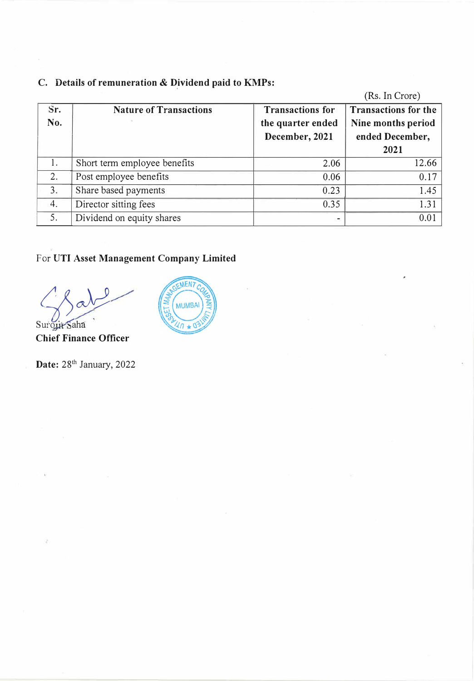|     |                               |                         | (Rs. In Crore)              |
|-----|-------------------------------|-------------------------|-----------------------------|
| Sr. | <b>Nature of Transactions</b> | <b>Transactions for</b> | <b>Transactions for the</b> |
| No. |                               | the quarter ended       | Nine months period          |
|     |                               | December, 2021          | ended December,             |
|     |                               |                         | 2021                        |
| 1.  | Short term employee benefits  | 2.06                    | 12.66                       |
| 2.  | Post employee benefits        | 0.06                    | 0.17                        |
| 3.  | Share based payments          | 0.23                    | 1.45                        |
| 4.  | Director sitting fees         | 0.35                    | 1.31                        |
| 5.  | Dividend on equity shares     |                         | 0.01                        |

# **C. Details of remuneration & Dividend paid to KMPs:**

# For **UTI Asset Management Company Limited**

 $\sum_{\text{Suroyit'saha}}$ 

**Chief Finance Officer** 

**Date:** 28<sup>th</sup> January, 2022

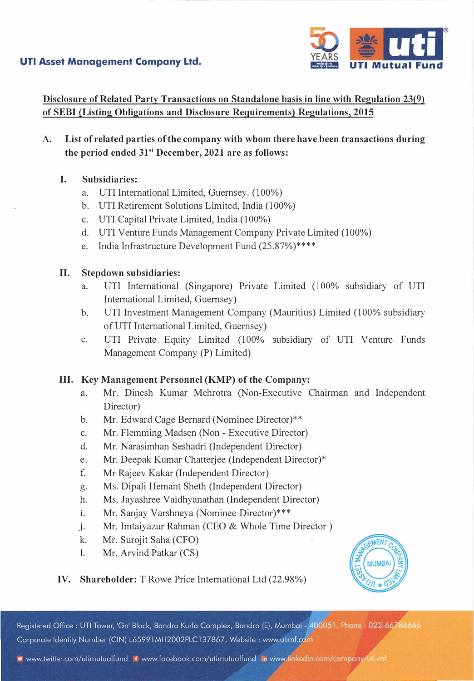



**Disclosure of Related Party Transactions on Standalone basis in line with Regulation 23(9) of SEBI (Listing Obligations and Disclosure Requirements) Regulations, 2015** 

- **A. List of related parties of the company with whom there have been transactions during the period ended 31st December, 2021 are as follows:**
	- I. **Subsidiaries:**
		- a. UTI International Limited, Guernsey. (100%)
		- b. UTI Retirement Solutions Limited, India ( 100%)
		- c. UTI Capital Private Limited, India (100%)
		- d. UTI Venture Funds Management Company Private Limited (100%)
		- e. India Infrastructure Development Fund (25.87%)\*\*\*\*

#### **II. Stepdown subsidiaries:**

- a. UTI International (Singapore) Private Limited (100% subsidiary of UTI International Limited, Guernsey)
- b. UTI Investment Management Company (Mauritius) Limited (100% subsidiary of UTI International Limited, Guernsey)
- c. UTI Private Equity Limited (100% subsidiary of UTI V cnture Funds Management Company (P) Limited)

### **III. Key Management Personnel (KMP) of the Company:**

- a. Mr. Dinesh Kumar Mehrotra (Non-Executive Chairman and Independent Director)
- b. Mr. Edward Cage Bernard (Nominee Director)\*\*
- c. Mr. Flemming Madsen (Non Executive Director)
- d. Mr. Narasimhan Seshadri (Independent Director)
- e. Mr. Deepak Kumar Chatterjee (Independent Director)\*
- f. Mr Rajeev Kakar (Independent Director)
- g. Ms. Dipali Hemant Sheth (Independent Director)
- h. Ms. Jayashree Vaidhyanathan (Independent Director)
- **1.** Mr. Sanjay Varshneya (Nominee Director)\*\*\*
- j. Mr. Imtaiyazur Rahman (CEO & Whole Time Director)
- k. Mr. Surojit Saha (CFO)
- 1. Mr. Arvind Patkar (CS)



### **IV. Shareholder:** T Rowe Price International Ltd (22.98%)

Registered Office: UTI Tower, 'Gn' Block, Bandra Kurla Complex, Bandra (E), Mumbai - 400051. Phone: 022-66786666 Corporate Identity Number (CIN) L65991MH2002PLC137867, Website: www.utimf.com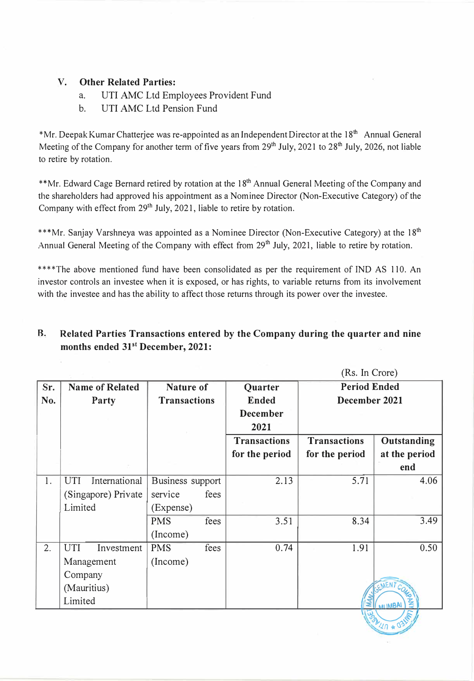### **V. Other Related Parties:**

- a. UTI AMC Ltd Employees Provident Fund
- b. UTI AMC Ltd Pension Fund

\*Mr. Deepak Kumar Chatterjee was re-appointed as an Independent Director at the 18<sup>th</sup> Annual General Meeting of the Company for another term of five years from  $29<sup>th</sup>$  July,  $2021$  to  $28<sup>th</sup>$  July,  $2026$ , not liable to retire by rotation.

\*\*Mr. Edward Cage Bernard retired by rotation at the 18<sup>th</sup> Annual General Meeting of the Company and the shareholders had approved his appointment as a Nominee Director (Non-Executive Category) of the Company with effect from 29<sup>th</sup> July, 2021, liable to retire by rotation.

\*\*\*Mr. Sanjay Varshneya was appointed as a Nominee Director (Non-Executive Category) at the 18<sup>th</sup> Annual General Meeting of the Company with effect from 29<sup>th</sup> July, 2021, liable to retire by rotation.

\*\*\*\*The above mentioned fund have been consolidated as per the requirement of IND AS 110. An investor controls an investee when it is exposed, or has rights, to variable returns from its involvement with the investee and has the ability to affect those returns through its power over the investee.

## **R. Related Parties Transactions entered by the Company during the quarter and nine** months ended  $31<sup>st</sup>$  December, 2021:

|     |                          |                     | (Rs. In Crore)      |                     |                     |  |
|-----|--------------------------|---------------------|---------------------|---------------------|---------------------|--|
| Sr. | <b>Name of Related</b>   | <b>Nature of</b>    | Quarter             | <b>Period Ended</b> |                     |  |
| No. | Party                    | <b>Transactions</b> | <b>Ended</b>        | December 2021       |                     |  |
|     |                          |                     | <b>December</b>     |                     |                     |  |
|     |                          |                     | 2021                |                     |                     |  |
|     |                          |                     | <b>Transactions</b> | <b>Transactions</b> | Outstanding         |  |
|     |                          |                     | for the period      | for the period      | at the period       |  |
|     |                          |                     |                     |                     | end                 |  |
| 1.  | International<br>UTI     | Business support    | 2.13                | 5.71                | 4.06                |  |
|     | (Singapore) Private      | fees<br>service     |                     |                     |                     |  |
|     | Limited                  | (Expense)           |                     |                     |                     |  |
|     |                          | <b>PMS</b><br>fees  | 3.51                | 8.34                | 3.49                |  |
|     |                          | (Income)            |                     |                     |                     |  |
| 2.  | <b>UTI</b><br>Investment | <b>PMS</b><br>fees  | 0.74                | 1.91                | 0.50                |  |
|     | Management               | (Income)            |                     |                     |                     |  |
|     | Company                  |                     |                     |                     |                     |  |
|     | (Mauritius)              |                     |                     |                     | EMENT CO            |  |
|     | Limited                  |                     |                     |                     | ξ<br><b>ARJIMBA</b> |  |
|     |                          |                     |                     |                     |                     |  |

 $29.407$